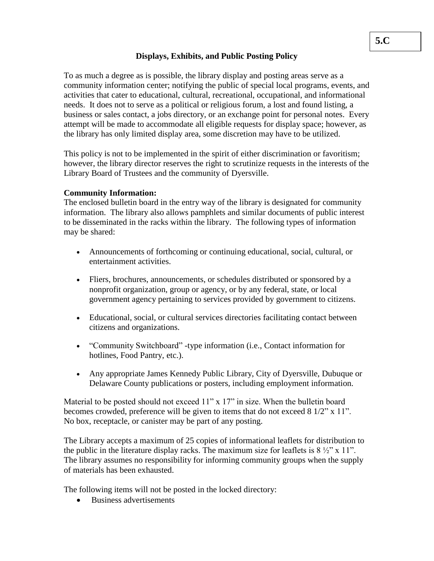# **Displays, Exhibits, and Public Posting Policy**

To as much a degree as is possible, the library display and posting areas serve as a community information center; notifying the public of special local programs, events, and activities that cater to educational, cultural, recreational, occupational, and informational needs. It does not to serve as a political or religious forum, a lost and found listing, a business or sales contact, a jobs directory, or an exchange point for personal notes. Every attempt will be made to accommodate all eligible requests for display space; however, as the library has only limited display area, some discretion may have to be utilized.

This policy is not to be implemented in the spirit of either discrimination or favoritism; however, the library director reserves the right to scrutinize requests in the interests of the Library Board of Trustees and the community of Dyersville.

### **Community Information:**

The enclosed bulletin board in the entry way of the library is designated for community information. The library also allows pamphlets and similar documents of public interest to be disseminated in the racks within the library. The following types of information may be shared:

- Announcements of forthcoming or continuing educational, social, cultural, or entertainment activities.
- Fliers, brochures, announcements, or schedules distributed or sponsored by a nonprofit organization, group or agency, or by any federal, state, or local government agency pertaining to services provided by government to citizens.
- Educational, social, or cultural services directories facilitating contact between citizens and organizations.
- "Community Switchboard" -type information (i.e., Contact information for hotlines, Food Pantry, etc.).
- Any appropriate James Kennedy Public Library, City of Dyersville, Dubuque or Delaware County publications or posters, including employment information.

Material to be posted should not exceed 11" x 17" in size. When the bulletin board becomes crowded, preference will be given to items that do not exceed 8 1/2" x 11". No box, receptacle, or canister may be part of any posting.

The Library accepts a maximum of 25 copies of informational leaflets for distribution to the public in the literature display racks. The maximum size for leaflets is  $8\frac{1}{2}$  x 11". The library assumes no responsibility for informing community groups when the supply of materials has been exhausted.

The following items will not be posted in the locked directory:

• Business advertisements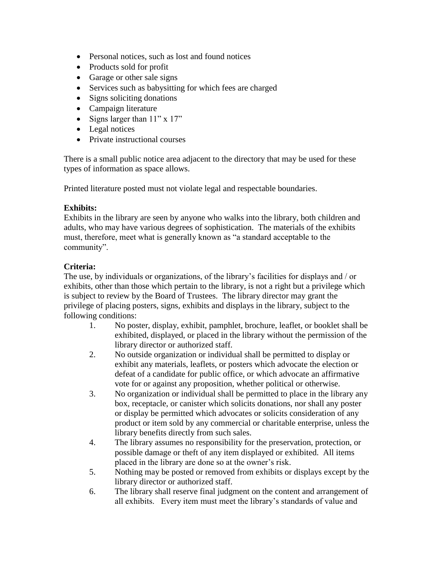- Personal notices, such as lost and found notices
- Products sold for profit
- Garage or other sale signs
- Services such as babysitting for which fees are charged
- Signs soliciting donations
- Campaign literature
- Signs larger than  $11" \times 17"$
- Legal notices
- Private instructional courses

There is a small public notice area adjacent to the directory that may be used for these types of information as space allows.

Printed literature posted must not violate legal and respectable boundaries.

### **Exhibits:**

Exhibits in the library are seen by anyone who walks into the library, both children and adults, who may have various degrees of sophistication. The materials of the exhibits must, therefore, meet what is generally known as "a standard acceptable to the community".

# **Criteria:**

The use, by individuals or organizations, of the library's facilities for displays and / or exhibits, other than those which pertain to the library, is not a right but a privilege which is subject to review by the Board of Trustees. The library director may grant the privilege of placing posters, signs, exhibits and displays in the library, subject to the following conditions:

- 1. No poster, display, exhibit, pamphlet, brochure, leaflet, or booklet shall be exhibited, displayed, or placed in the library without the permission of the library director or authorized staff.
- 2. No outside organization or individual shall be permitted to display or exhibit any materials, leaflets, or posters which advocate the election or defeat of a candidate for public office, or which advocate an affirmative vote for or against any proposition, whether political or otherwise.
- 3. No organization or individual shall be permitted to place in the library any box, receptacle, or canister which solicits donations, nor shall any poster or display be permitted which advocates or solicits consideration of any product or item sold by any commercial or charitable enterprise, unless the library benefits directly from such sales.
- 4. The library assumes no responsibility for the preservation, protection, or possible damage or theft of any item displayed or exhibited. All items placed in the library are done so at the owner's risk.
- 5. Nothing may be posted or removed from exhibits or displays except by the library director or authorized staff.
- 6. The library shall reserve final judgment on the content and arrangement of all exhibits. Every item must meet the library's standards of value and